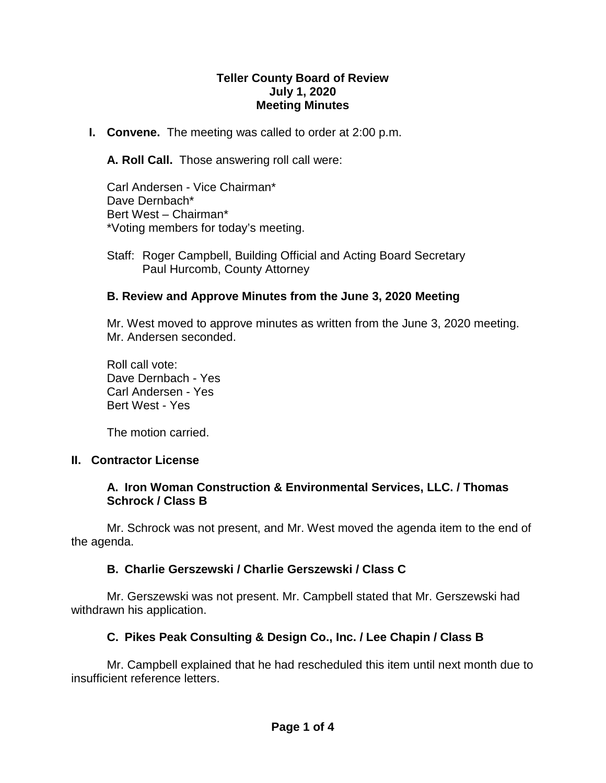#### **Teller County Board of Review July 1, 2020 Meeting Minutes**

**I. Convene.** The meeting was called to order at 2:00 p.m.

**A. Roll Call.** Those answering roll call were:

Carl Andersen - Vice Chairman\* Dave Dernbach\* Bert West – Chairman\* \*Voting members for today's meeting.

Staff: Roger Campbell, Building Official and Acting Board Secretary Paul Hurcomb, County Attorney

## **B. Review and Approve Minutes from the June 3, 2020 Meeting**

Mr. West moved to approve minutes as written from the June 3, 2020 meeting. Mr. Andersen seconded.

Roll call vote: Dave Dernbach - Yes Carl Andersen - Yes Bert West - Yes

The motion carried.

#### **II. Contractor License**

#### **A. Iron Woman Construction & Environmental Services, LLC. / Thomas Schrock / Class B**

Mr. Schrock was not present, and Mr. West moved the agenda item to the end of the agenda.

## **B. Charlie Gerszewski / Charlie Gerszewski / Class C**

Mr. Gerszewski was not present. Mr. Campbell stated that Mr. Gerszewski had withdrawn his application.

## **C. Pikes Peak Consulting & Design Co., Inc. / Lee Chapin / Class B**

Mr. Campbell explained that he had rescheduled this item until next month due to insufficient reference letters.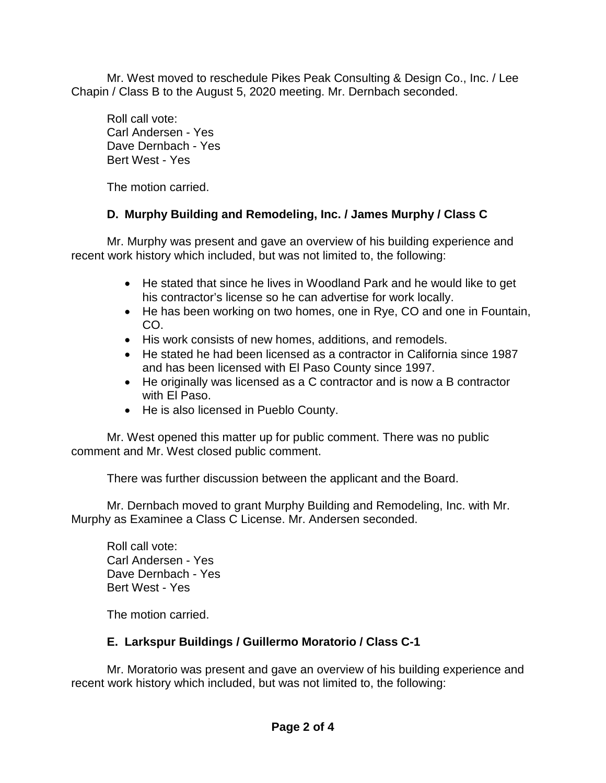Mr. West moved to reschedule Pikes Peak Consulting & Design Co., Inc. / Lee Chapin / Class B to the August 5, 2020 meeting. Mr. Dernbach seconded.

Roll call vote: Carl Andersen - Yes Dave Dernbach - Yes Bert West - Yes

The motion carried.

## **D. Murphy Building and Remodeling, Inc. / James Murphy / Class C**

Mr. Murphy was present and gave an overview of his building experience and recent work history which included, but was not limited to, the following:

- He stated that since he lives in Woodland Park and he would like to get his contractor's license so he can advertise for work locally.
- He has been working on two homes, one in Rye, CO and one in Fountain, CO.
- His work consists of new homes, additions, and remodels.
- He stated he had been licensed as a contractor in California since 1987 and has been licensed with El Paso County since 1997.
- He originally was licensed as a C contractor and is now a B contractor with El Paso.
- He is also licensed in Pueblo County.

Mr. West opened this matter up for public comment. There was no public comment and Mr. West closed public comment.

There was further discussion between the applicant and the Board.

Mr. Dernbach moved to grant Murphy Building and Remodeling, Inc. with Mr. Murphy as Examinee a Class C License. Mr. Andersen seconded.

Roll call vote: Carl Andersen - Yes Dave Dernbach - Yes Bert West - Yes

The motion carried.

# **E. Larkspur Buildings / Guillermo Moratorio / Class C-1**

Mr. Moratorio was present and gave an overview of his building experience and recent work history which included, but was not limited to, the following: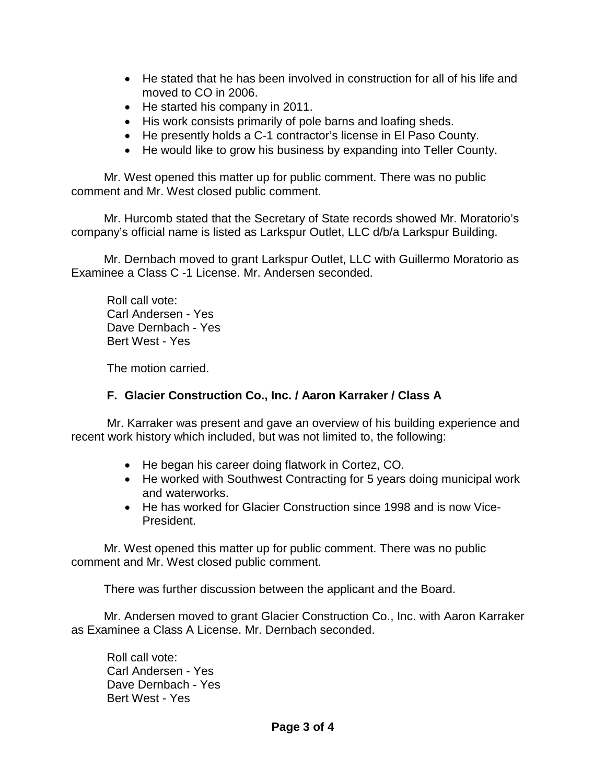- He stated that he has been involved in construction for all of his life and moved to CO in 2006.
- He started his company in 2011.
- His work consists primarily of pole barns and loafing sheds.
- He presently holds a C-1 contractor's license in El Paso County.
- He would like to grow his business by expanding into Teller County.

Mr. West opened this matter up for public comment. There was no public comment and Mr. West closed public comment.

Mr. Hurcomb stated that the Secretary of State records showed Mr. Moratorio's company's official name is listed as Larkspur Outlet, LLC d/b/a Larkspur Building.

Mr. Dernbach moved to grant Larkspur Outlet, LLC with Guillermo Moratorio as Examinee a Class C -1 License. Mr. Andersen seconded.

Roll call vote: Carl Andersen - Yes Dave Dernbach - Yes Bert West - Yes

The motion carried.

### **F. Glacier Construction Co., Inc. / Aaron Karraker / Class A**

Mr. Karraker was present and gave an overview of his building experience and recent work history which included, but was not limited to, the following:

- He began his career doing flatwork in Cortez, CO.
- He worked with Southwest Contracting for 5 years doing municipal work and waterworks.
- He has worked for Glacier Construction since 1998 and is now Vice-President.

Mr. West opened this matter up for public comment. There was no public comment and Mr. West closed public comment.

There was further discussion between the applicant and the Board.

Mr. Andersen moved to grant Glacier Construction Co., Inc. with Aaron Karraker as Examinee a Class A License. Mr. Dernbach seconded.

Roll call vote: Carl Andersen - Yes Dave Dernbach - Yes Bert West - Yes